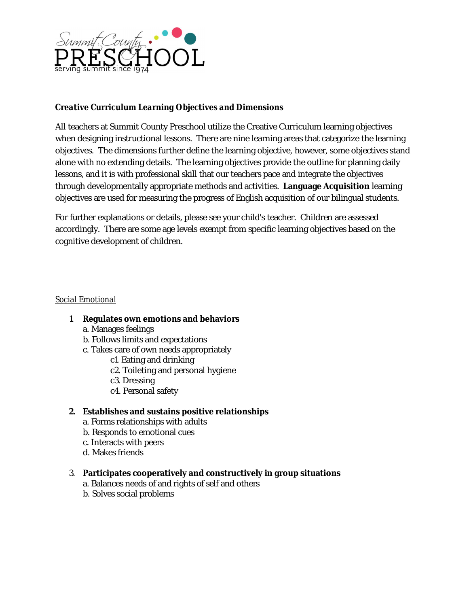

# *Creative Curriculum Learning Objectives and Dimensions*

All teachers at Summit County Preschool utilize the Creative Curriculum learning objectives when designing instructional lessons. There are nine learning areas that categorize the learning objectives. The dimensions further define the learning objective, however, some objectives stand alone with no extending details. The learning objectives provide the outline for planning daily lessons, and it is with professional skill that our teachers pace and integrate the objectives through developmentally appropriate methods and activities. **Language Acquisition** learning objectives are used for measuring the progress of English acquisition of our bilingual students.

For further explanations or details, please see your child's teacher. Children are assessed accordingly. There are some age levels exempt from specific learning objectives based on the cognitive development of children.

### *Social Emotional*

- 1. **Regulates own emotions and behaviors**
	- a. Manages feelings
	- b. Follows limits and expectations
	- c. Takes care of own needs appropriately
		- c1. Eating and drinking
			- c2. Toileting and personal hygiene
			- c3. Dressing
			- c4. Personal safety

# **2. Establishes and sustains positive relationships**

- a. Forms relationships with adults
- b. Responds to emotional cues
- c. Interacts with peers
- d. Makes friends

#### 3. **Participates cooperatively and constructively in group situations**

- a. Balances needs of and rights of self and others
- b. Solves social problems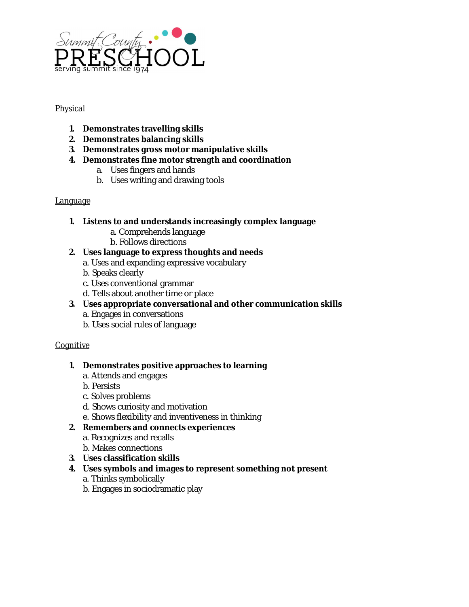

## *Physical*

- **1. Demonstrates travelling skills**
- **2. Demonstrates balancing skills**
- **3. Demonstrates gross motor manipulative skills**
- **4. Demonstrates fine motor strength and coordination**
	- a. Uses fingers and hands
	- b. Uses writing and drawing tools

# *Language*

- **1. Listens to and understands increasingly complex language**
	- a. Comprehends language
	- b. Follows directions
- **2. Uses language to express thoughts and needs**
	- a. Uses and expanding expressive vocabulary
	- b. Speaks clearly
	- c. Uses conventional grammar
	- d. Tells about another time or place
- **3. Uses appropriate conversational and other communication skills**
	- a. Engages in conversations
	- b. Uses social rules of language

# *Cognitive*

- **1. Demonstrates positive approaches to learning**
	- a. Attends and engages
	- b. Persists
	- c. Solves problems
	- d. Shows curiosity and motivation
	- e. Shows flexibility and inventiveness in thinking

# **2. Remembers and connects experiences**

- a. Recognizes and recalls
- b. Makes connections
- **3. Uses classification skills**
- **4. Uses symbols and images to represent something not present**
	- a. Thinks symbolically
	- b. Engages in sociodramatic play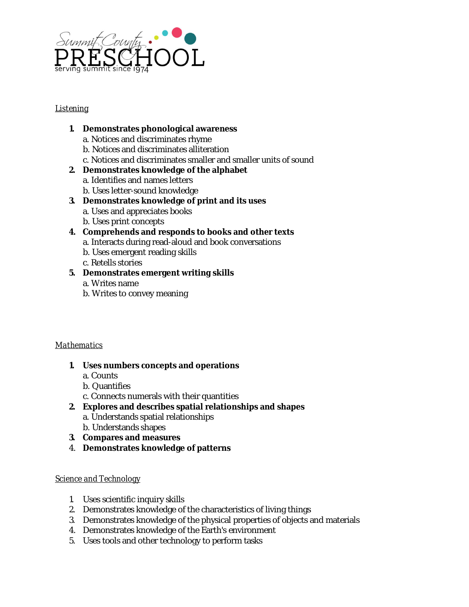

## *Listening*

### **1. Demonstrates phonological awareness**

- a. Notices and discriminates rhyme
- b. Notices and discriminates alliteration
- c. Notices and discriminates smaller and smaller units of sound

## **2. Demonstrates knowledge of the alphabet**

- a. Identifies and names letters
- b. Uses letter-sound knowledge
- **3. Demonstrates knowledge of print and its uses**
	- a. Uses and appreciates books
	- b. Uses print concepts

# **4. Comprehends and responds to books and other texts**

- a. Interacts during read-aloud and book conversations
- b. Uses emergent reading skills
- c. Retells stories

# **5. Demonstrates emergent writing skills**

- a. Writes name
- b. Writes to convey meaning

#### *Mathematics*

- **1. Uses numbers concepts and operations**
	- a. Counts
	- b. Quantifies
	- c. Connects numerals with their quantities
- **2. Explores and describes spatial relationships and shapes**
	- a. Understands spatial relationships
	- b. Understands shapes
- **3. Compares and measures**
- 4. **Demonstrates knowledge of patterns**

#### *Science and Technology*

- 1. Uses scientific inquiry skills
- 2. Demonstrates knowledge of the characteristics of living things
- 3. Demonstrates knowledge of the physical properties of objects and materials
- 4. Demonstrates knowledge of the Earth's environment
- 5. Uses tools and other technology to perform tasks